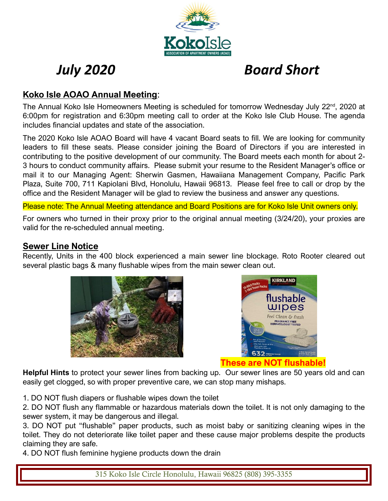

# *July 2020 Board Short*

## **Koko Isle AOAO Annual Meeting**:

The Annual Koko Isle Homeowners Meeting is scheduled for tomorrow Wednesday July 22<sup>nd</sup>, 2020 at 6:00pm for registration and 6:30pm meeting call to order at the Koko Isle Club House. The agenda includes financial updates and state of the association.

The 2020 Koko Isle AOAO Board will have 4 vacant Board seats to fill. We are looking for community leaders to fill these seats. Please consider joining the Board of Directors if you are interested in contributing to the positive development of our community. The Board meets each month for about 2- 3 hours to conduct community affairs. Please submit your resume to the Resident Manager's office or mail it to our Managing Agent: Sherwin Gasmen, Hawaiiana Management Company, Pacific Park Plaza, Suite 700, 711 Kapiolani Blvd, Honolulu, Hawaii 96813. Please feel free to call or drop by the office and the Resident Manager will be glad to review the business and answer any questions.

Please note: The Annual Meeting attendance and Board Positions are for Koko Isle Unit owners only.

For owners who turned in their proxy prior to the original annual meeting (3/24/20), your proxies are valid for the re-scheduled annual meeting.

## **Sewer Line Notice**

Recently, Units in the 400 block experienced a main sewer line blockage. Roto Rooter cleared out several plastic bags & many flushable wipes from the main sewer clean out.





**Helpful Hints** to protect your sewer lines from backing up. Our sewer lines are 50 years old and can easily get clogged, so with proper preventive care, we can stop many mishaps.

1. DO NOT flush diapers or flushable wipes down the toilet

2. DO NOT flush any flammable or hazardous materials down the toilet. It is not only damaging to the sewer system, it may be dangerous and illegal.

3. DO NOT put "flushable" paper products, such as moist baby or sanitizing cleaning wipes in the toilet. They do not deteriorate like toilet paper and these cause major problems despite the products claiming they are safe.

4. DO NOT flush feminine hygiene products down the drain

315 Koko Isle Circle Honolulu, Hawaii 96825 (808) 395-3355